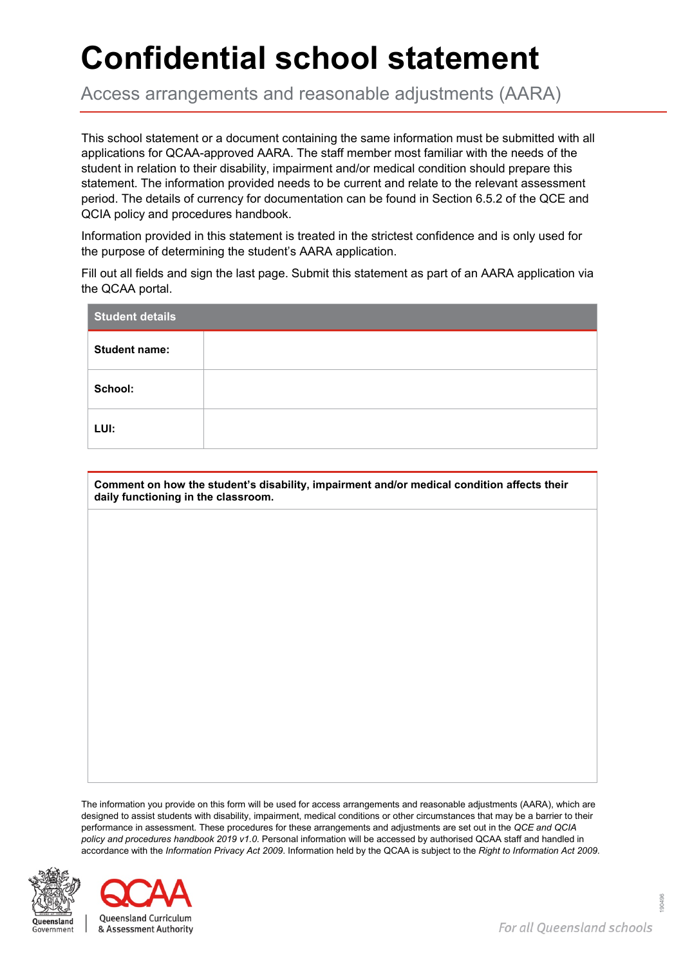## **Confidential school statement**

Access arrangements and reasonable adjustments (AARA)

This school statement or a document containing the same information must be submitted with all applications for QCAA-approved AARA. The staff member most familiar with the needs of the student in relation to their disability, impairment and/or medical condition should prepare this statement. The information provided needs to be current and relate to the relevant assessment period. The details of currency for documentation can be found in Section 6.5.2 of the QCE and QCIA policy and procedures handbook.

Information provided in this statement is treated in the strictest confidence and is only used for the purpose of determining the student's AARA application.

Fill out all fields and sign the last page. Submit this statement as part of an AARA application via the QCAA portal.

| <b>Student details</b> |  |  |
|------------------------|--|--|
| <b>Student name:</b>   |  |  |
| School:                |  |  |
| LUI:                   |  |  |

**Comment on how the student's disability, impairment and/or medical condition affects their daily functioning in the classroom.**

The information you provide on this form will be used for access arrangements and reasonable adjustments (AARA), which are designed to assist students with disability, impairment, medical conditions or other circumstances that may be a barrier to their performance in assessment. These procedures for these arrangements and adjustments are set out in the *QCE and QCIA policy and procedures handbook 2019 v1.0*. Personal information will be accessed by authorised QCAA staff and handled in accordance with the *Information Privacy Act 2009*. Information held by the QCAA is subject to the *Right to Information Act 2009*.



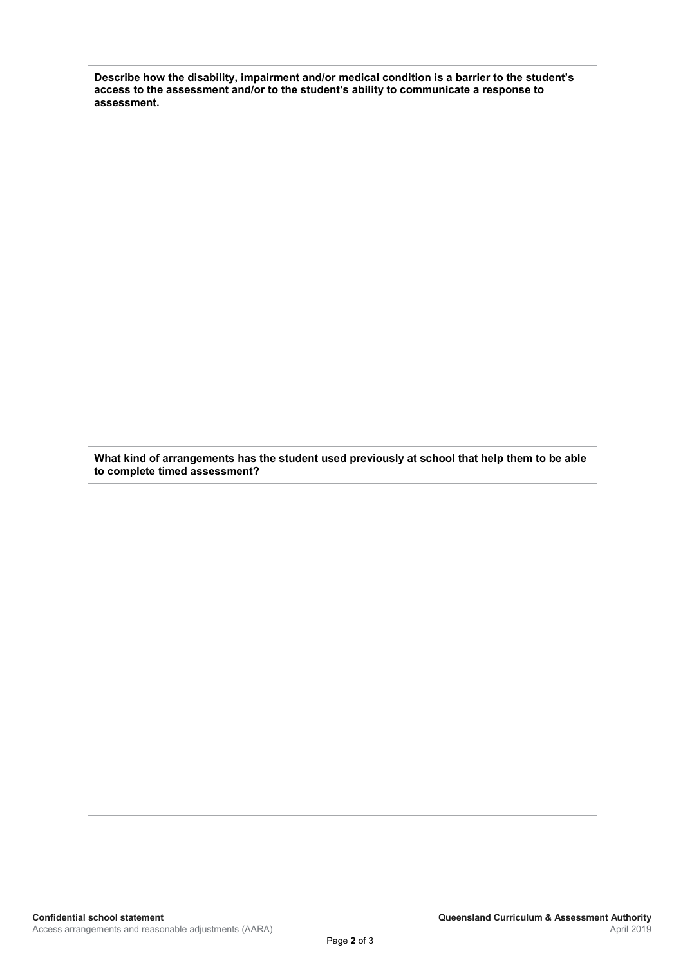**Describe how the disability, impairment and/or medical condition is a barrier to the student's access to the assessment and/or to the student's ability to communicate a response to assessment.**

**What kind of arrangements has the student used previously at school that help them to be able to complete timed assessment?**